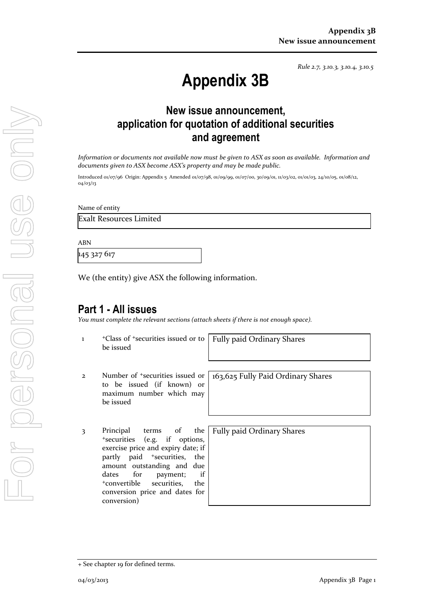*Rule 2.7, 3.10.3, 3.10.4, 3.10.5*

# **Appendix 3B**

# **New issue announcement, application for quotation of additional securities and agreement**

*Information or documents not available now must be given to ASX as soon as available. Information and documents given to ASX become ASX's property and may be made public.*

Introduced 01/07/96 Origin: Appendix 5 Amended 01/07/98, 01/09/99, 01/07/00, 30/09/01, 11/03/02, 01/01/03, 24/10/05, 01/08/12, 04/03/13

Name of entity

Exalt Resources Limited

ABN

145 327 617

We (the entity) give ASX the following information.

### **Part 1 - All issues**

*You must complete the relevant sections (attach sheets if there is not enough space).*

1 <sup>+</sup>Class of +securities issued or to be issued

Fully paid Ordinary Shares

2 Number of +securities issued or to be issued (if known) or maximum number which may be issued

3 Principal terms of the <sup>+</sup>securities (e.g. if options, exercise price and expiry date; if partly paid <sup>+</sup>securities, the amount outstanding and due dates for payment; if <sup>+</sup>convertible securities, the conversion price and dates for conversion)

163,625 Fully Paid Ordinary Shares

Fully paid Ordinary Shares

<sup>+</sup> See chapter 19 for defined terms.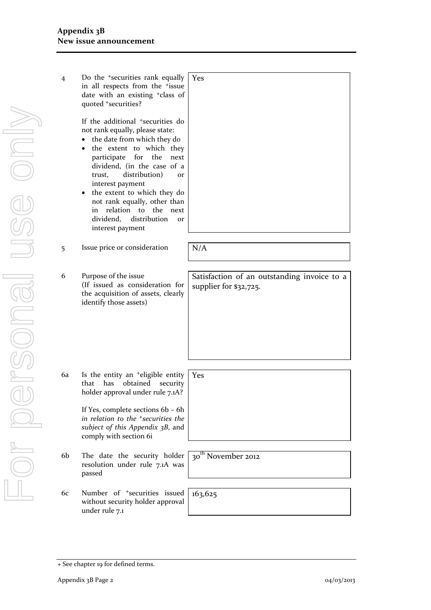| Do the $\pm$ securities rank equally<br>in all respects from the <i>fissue</i><br>date with an existing <sup>+</sup> class of<br>quoted *securities?                                                                                                                                                                                                                                                                                              | <b>Yes</b> |
|---------------------------------------------------------------------------------------------------------------------------------------------------------------------------------------------------------------------------------------------------------------------------------------------------------------------------------------------------------------------------------------------------------------------------------------------------|------------|
| If the additional <sup>+</sup> securities do<br>not rank equally, please state:<br>the date from which they do<br>$\bullet$<br>• the extent to which they<br>participate for the<br>next<br>dividend, (in the case of a<br>trust, distribution)<br>$\alpha$<br>interest payment<br>the extent to which they do<br>$\bullet$<br>not rank equally, other than<br>in relation to the next<br>dividend, distribution<br><b>or</b><br>interest payment |            |
| Issue price or consideration                                                                                                                                                                                                                                                                                                                                                                                                                      | N/A        |

6 Purpose of the issue (If issued as consideration for the acquisition of assets, clearly identify those assets)

Satisfaction of an outstanding invoice to a supplier for \$32,725.

6a Is the entity an +eligible entity that has obtained security holder approval under rule 7.1A? Yes

> If Yes, complete sections 6b – 6h *in relation to the +securities the subject of this Appendix 3B*, and comply with section 6i

- 6b The date the security holder resolution under rule 7.1A was passed
- 6c Number of +securities issued without security holder approval under rule 7.1

30<sup>th</sup> November 2012

163,625

<sup>+</sup> See chapter 19 for defined terms.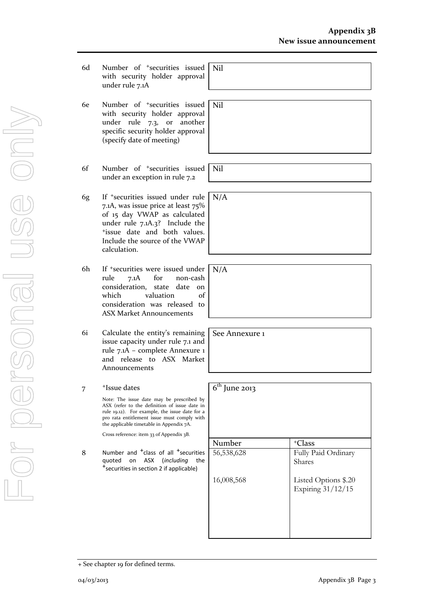- 6d Number of +securities issued with security holder approval under rule 7.1A
- 6e Number of +securities issued with security holder approval under rule 7.3, or another specific security holder approval (specify date of meeting)
- 6f Number of +securities issued under an exception in rule 7.2
- 6g If +securities issued under rule 7.1A, was issue price at least 75% of 15 day VWAP as calculated under rule 7.1A.3? Include the <sup>+</sup>issue date and both values. Include the source of the VWAP calculation.
- 6h If +securities were issued under rule 7.1A for non-cash consideration, state date on which valuation of consideration was released to ASX Market Announcements
- 6i Calculate the entity's remaining issue capacity under rule 7.1 and rule 7.1A – complete Annexure 1 and release to ASX Market Announcements

#### 7 <sup>+</sup>Issue dates

Note: The issue date may be prescribed by ASX (refer to the definition of issue date in rule 19.12). For example, the issue date for a pro rata entitlement issue must comply with the applicable timetable in Appendix 7A.

Cross reference: item 33 of Appendix 3B.

8 Number and <sup>+</sup>class of all <sup>+</sup>securities quoted on ASX (*including* the +securities in section 2 if applicable)

Nil

Nil

Nil

N/A

N/A

See Annexure 1

| $\overline{6^{th}}$ June 2013 |                                           |
|-------------------------------|-------------------------------------------|
| Number                        | <sup>+</sup> Class                        |
| 56,538,628                    | Fully Paid Ordinary<br>Shares             |
| 16,008,568                    | Listed Options \$.20<br>Expiring 31/12/15 |
|                               |                                           |

<sup>+</sup> See chapter 19 for defined terms.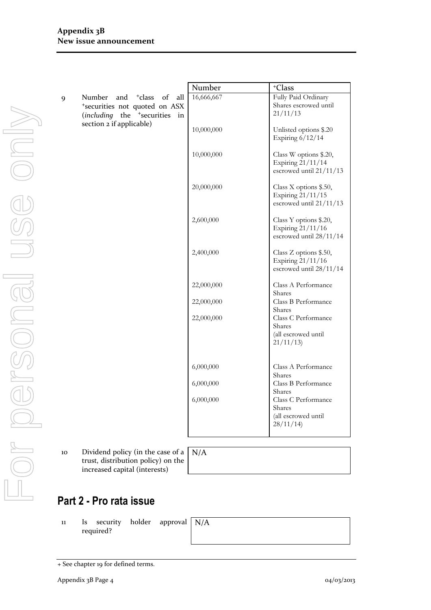|                                                                                                                                |                          | $^+\mathrm{Class}$                                                         |
|--------------------------------------------------------------------------------------------------------------------------------|--------------------------|----------------------------------------------------------------------------|
| and <sup>+</sup> class<br>of<br>all<br>Number<br>*securities not quoted on ASX<br>(including the <sup>+</sup> securities<br>in | 16,666,667               | Fully Paid Ordinary<br>Shares escrowed until<br>21/11/13                   |
|                                                                                                                                | 10,000,000               | Unlisted options \$.20<br>Expiring $6/12/14$                               |
|                                                                                                                                | 10,000,000               | Class W options \$.20,<br>Expiring 21/11/14<br>escrowed until 21/11/13     |
|                                                                                                                                | 20,000,000               | Class X options \$.50,<br>Expiring 21/11/15<br>escrowed until 21/11/13     |
|                                                                                                                                | 2,600,000                | Class Y options \$.20,<br>Expiring 21/11/16<br>escrowed until 28/11/14     |
|                                                                                                                                | 2,400,000                | Class Z options \$.50,<br>Expiring 21/11/16<br>escrowed until 28/11/14     |
|                                                                                                                                | 22,000,000               | Class A Performance<br>Shares                                              |
|                                                                                                                                | 22,000,000               | Class B Performance<br>Shares                                              |
|                                                                                                                                | 22,000,000               | Class C Performance<br><b>Shares</b><br>(all escrowed until<br>21/11/13    |
|                                                                                                                                | 6,000,000                | Class A Performance                                                        |
|                                                                                                                                | 6,000,000                | Shares<br>Class B Performance                                              |
|                                                                                                                                | 6,000,000                | Shares<br>Class C Performance<br>Shares<br>(all escrowed until<br>28/11/14 |
|                                                                                                                                | section 2 if applicable) | Number                                                                     |

10 Dividend policy (in the case of a trust, distribution policy) on the increased capital (interests)

N/A

# **Part 2 - Pro rata issue**

11 Is security holder approval required?

N/A

For personal use only Forersonal use only

<sup>+</sup> See chapter 19 for defined terms.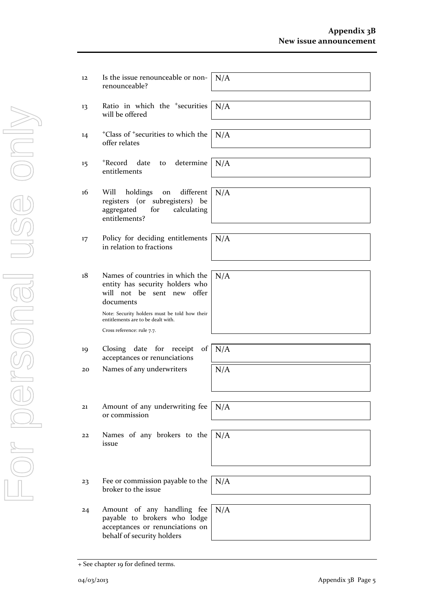| 12 | Is the issue renounceable or non-<br>renounceable?                                                                                                                                                                                    | N/A |
|----|---------------------------------------------------------------------------------------------------------------------------------------------------------------------------------------------------------------------------------------|-----|
| 13 | Ratio in which the <sup>+</sup> securities<br>will be offered                                                                                                                                                                         | N/A |
| 14 | <sup>+</sup> Class of <sup>+</sup> securities to which the<br>offer relates                                                                                                                                                           | N/A |
| 15 | +Record<br>determine<br>date<br>to<br>entitlements                                                                                                                                                                                    | N/A |
| 16 | different<br>Will<br>holdings<br>on<br>registers (or<br>subregisters) be<br>aggregated<br>for<br>calculating<br>entitlements?                                                                                                         | N/A |
| 17 | Policy for deciding entitlements<br>in relation to fractions                                                                                                                                                                          | N/A |
| 18 | Names of countries in which the<br>entity has security holders who<br>will not be<br>sent new offer<br>documents<br>Note: Security holders must be told how their<br>entitlements are to be dealt with.<br>Cross reference: rule 7.7. | N/A |
| 19 | Closing date for<br>$\sigma$<br>receipt<br>acceptances or renunciations                                                                                                                                                               | N/A |
| 20 | Names of any underwriters                                                                                                                                                                                                             | N/A |
|    |                                                                                                                                                                                                                                       |     |
| 21 | Amount of any underwriting fee<br>or commission                                                                                                                                                                                       | N/A |
| 22 | Names of any brokers to the<br>issue                                                                                                                                                                                                  | N/A |
|    |                                                                                                                                                                                                                                       |     |
| 23 | Fee or commission payable to the<br>broker to the issue                                                                                                                                                                               | N/A |
| 24 | Amount of any handling fee<br>payable to brokers who lodge<br>acceptances or renunciations on<br>behalf of security holders                                                                                                           | N/A |

<sup>+</sup> See chapter 19 for defined terms.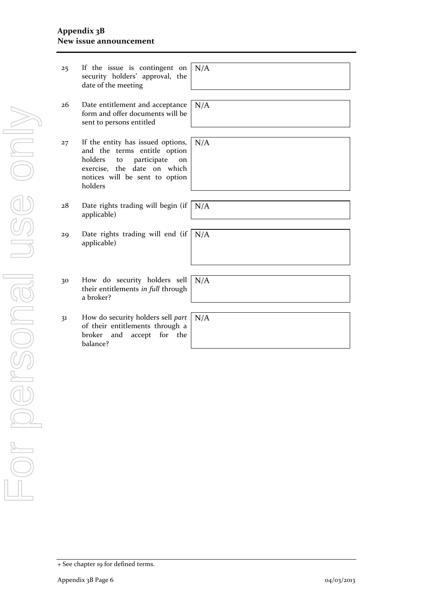#### **Appendix 3B New issue announcement**

| 25 | If the issue is contingent on<br>security holders' approval, the<br>date of the meeting                                                                                             | N/A |
|----|-------------------------------------------------------------------------------------------------------------------------------------------------------------------------------------|-----|
| 26 | Date entitlement and acceptance<br>form and offer documents will be<br>sent to persons entitled                                                                                     | N/A |
| 27 | If the entity has issued options,<br>and the terms entitle option<br>holders<br>participate<br>to<br>on<br>exercise, the date on which<br>notices will be sent to option<br>holders | N/A |
| 28 | Date rights trading will begin (if<br>applicable)                                                                                                                                   | N/A |
| 29 | Date rights trading will end (if<br>applicable)                                                                                                                                     | N/A |
| 30 | How do security holders sell<br>their entitlements in full through<br>a broker?                                                                                                     | N/A |
| 31 | How do security holders sell part<br>of their entitlements through a<br>for the<br>broker<br>and<br>accept<br>balance?                                                              | N/A |

<sup>+</sup> See chapter 19 for defined terms.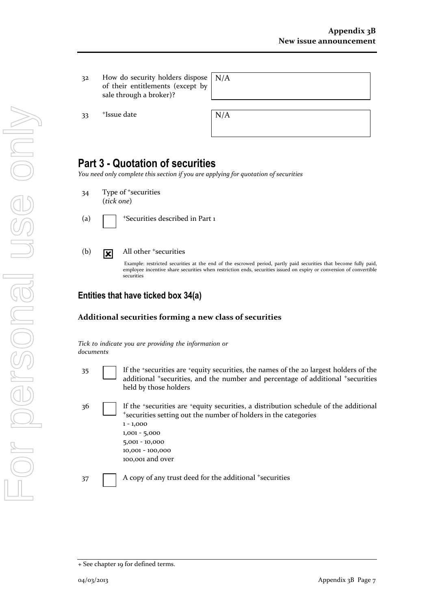32 How do security holders dispos of their entitlements (except b sale through a broker)?

 $33$  +Issue date  $N/A$ 

|   | e N/A |  |
|---|-------|--|
| y |       |  |
|   |       |  |

# **Part 3 - Quotation of securities**

*You need only complete this section if you are applying for quotation of securities*

- 34 Type of <sup>+</sup>securities (*tick one*)
- 

(a)  $\Box$  + Securities described in Part 1

(b)  $\boxed{\mathbf{x}}$  All other +securities

Example: restricted securities at the end of the escrowed period, partly paid securities that become fully paid, employee incentive share securities when restriction ends, securities issued on expiry or conversion of convertible securities

#### **Entities that have ticked box 34(a)**

#### **Additional securities forming a new class of securities**

*Tick to indicate you are providing the information or documents*

- 35 If the <sup>+</sup>securities are <sup>+</sup>equity securities, the names of the 20 largest holders of the additional <sup>+</sup>securities, and the number and percentage of additional <sup>+</sup>securities held by those holders
- 36 If the \*securities are \*equity securities, a distribution schedule of the additional <sup>+</sup>securities setting out the number of holders in the categories 1 - 1,000 1,001 - 5,000 5,001 - 10,000 10,001 - 100,000 100,001 and over

37 A copy of any trust deed for the additional +securities

For personal use only USS ONN 

<sup>+</sup> See chapter 19 for defined terms.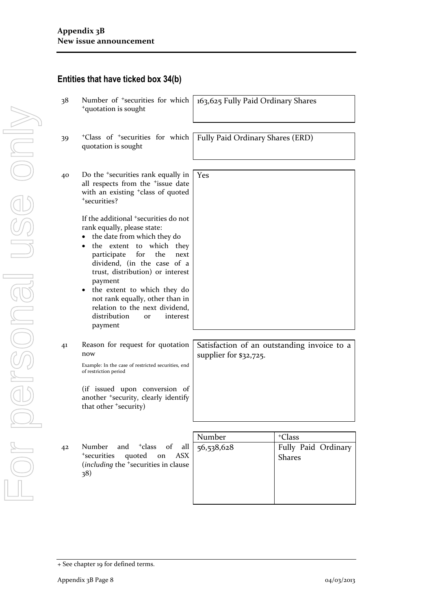| 38 | Number of <sup>+</sup> securities for which<br><sup>+</sup> quotation is sought                                                                                                                                                                                                                                                               | 163,625 Fully Paid Ordinary Shares |                                                            |
|----|-----------------------------------------------------------------------------------------------------------------------------------------------------------------------------------------------------------------------------------------------------------------------------------------------------------------------------------------------|------------------------------------|------------------------------------------------------------|
| 39 | <sup>+</sup> Class of <sup>+</sup> securities for which<br>quotation is sought                                                                                                                                                                                                                                                                | Fully Paid Ordinary Shares (ERD)   |                                                            |
| 40 | Do the <sup>+</sup> securities rank equally in<br>all respects from the <sup>+</sup> issue date<br>with an existing <sup>+</sup> class of quoted<br>*securities?<br>If the additional <sup>+</sup> securities do not<br>rank equally, please state:                                                                                           | Yes                                |                                                            |
|    | the date from which they do<br>٠<br>the extent to which they<br>$\bullet$<br>participate<br>for<br>the<br>next<br>dividend, (in the case of a<br>trust, distribution) or interest<br>payment<br>the extent to which they do<br>not rank equally, other than in<br>relation to the next dividend,<br>distribution<br>interest<br>or<br>payment |                                    |                                                            |
| 41 | Reason for request for quotation<br>now<br>Example: In the case of restricted securities, end<br>of restriction period                                                                                                                                                                                                                        | supplier for \$32,725.             | Satisfaction of an outstanding invoice to a                |
|    | (if issued upon conversion of<br>another <sup>+</sup> security, clearly identify<br>that other <sup>+</sup> security)                                                                                                                                                                                                                         |                                    |                                                            |
|    |                                                                                                                                                                                                                                                                                                                                               |                                    |                                                            |
| 42 | Number<br><sup>+</sup> class<br>of<br>all<br>and<br><sup>+</sup> securities<br>quoted<br><b>ASX</b><br>on<br>(including the <sup>+</sup> securities in clause<br>38)                                                                                                                                                                          | Number<br>56,538,628               | <sup>+</sup> Class<br>Fully Paid Ordinary<br><b>Shares</b> |
|    |                                                                                                                                                                                                                                                                                                                                               |                                    |                                                            |

#### **Entities that have ticked box 34(b)**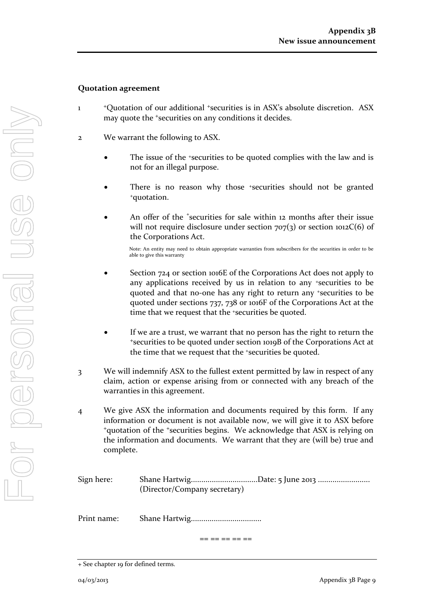#### **Quotation agreement**

- 1 <sup>+</sup>Quotation of our additional <sup>+</sup>securities is in ASX's absolute discretion. ASX may quote the <sup>+</sup>securities on any conditions it decides.
- 2 We warrant the following to ASX.
	- The issue of the +securities to be quoted complies with the law and is not for an illegal purpose.
	- There is no reason why those *\*securities* should not be granted <sup>+</sup>quotation.
	- An offer of the <sup>+</sup>securities for sale within 12 months after their issue will not require disclosure under section  $707(3)$  or section 1012C(6) of the Corporations Act.

Note: An entity may need to obtain appropriate warranties from subscribers for the securities in order to be able to give this warranty

- Section 724 or section 1016E of the Corporations Act does not apply to any applications received by us in relation to any +securities to be quoted and that no-one has any right to return any +securities to be quoted under sections 737, 738 or 1016F of the Corporations Act at the time that we request that the <sup>+</sup>securities be quoted.
- If we are a trust, we warrant that no person has the right to return the <sup>+</sup>securities to be quoted under section 1019B of the Corporations Act at the time that we request that the +securities be quoted.
- 3 We will indemnify ASX to the fullest extent permitted by law in respect of any claim, action or expense arising from or connected with any breach of the warranties in this agreement.
- 4 We give ASX the information and documents required by this form. If any information or document is not available now, we will give it to ASX before <sup>+</sup>quotation of the <sup>+</sup>securities begins. We acknowledge that ASX is relying on the information and documents. We warrant that they are (will be) true and complete.

Sign here: Shane Hartwig................................Date: 5 June 2013 ......................... (Director/Company secretary)

Print name: Shane Hartwig..................................

== == == == ==

<sup>+</sup> See chapter 19 for defined terms.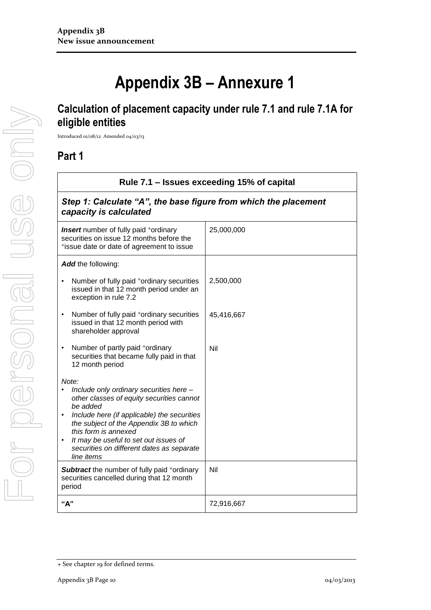# **Appendix 3B – Annexure 1**

# **Calculation of placement capacity under rule 7.1 and rule 7.1A for eligible entities**

Introduced 01/08/12 Amended 04/03/13

### **Part 1**

| Rule 7.1 – Issues exceeding 15% of capital                                                                                                                                                                                                                                                                                                   |            |  |
|----------------------------------------------------------------------------------------------------------------------------------------------------------------------------------------------------------------------------------------------------------------------------------------------------------------------------------------------|------------|--|
| Step 1: Calculate "A", the base figure from which the placement<br>capacity is calculated                                                                                                                                                                                                                                                    |            |  |
| <b>Insert</b> number of fully paid <sup>+</sup> ordinary<br>securities on issue 12 months before the<br>*issue date or date of agreement to issue                                                                                                                                                                                            | 25,000,000 |  |
| Add the following:                                                                                                                                                                                                                                                                                                                           |            |  |
| Number of fully paid *ordinary securities<br>issued in that 12 month period under an<br>exception in rule 7.2                                                                                                                                                                                                                                | 2,500,000  |  |
| Number of fully paid <sup>+</sup> ordinary securities<br>issued in that 12 month period with<br>shareholder approval                                                                                                                                                                                                                         | 45,416,667 |  |
| Number of partly paid *ordinary<br>$\bullet$<br>securities that became fully paid in that<br>12 month period                                                                                                                                                                                                                                 | Nil        |  |
| Note:<br>Include only ordinary securities here -<br>other classes of equity securities cannot<br>be added<br>Include here (if applicable) the securities<br>$\bullet$<br>the subject of the Appendix 3B to which<br>this form is annexed<br>It may be useful to set out issues of<br>securities on different dates as separate<br>line items |            |  |
| <b>Subtract</b> the number of fully paid +ordinary<br>securities cancelled during that 12 month<br>period                                                                                                                                                                                                                                    | Nil        |  |
| "А"                                                                                                                                                                                                                                                                                                                                          | 72,916,667 |  |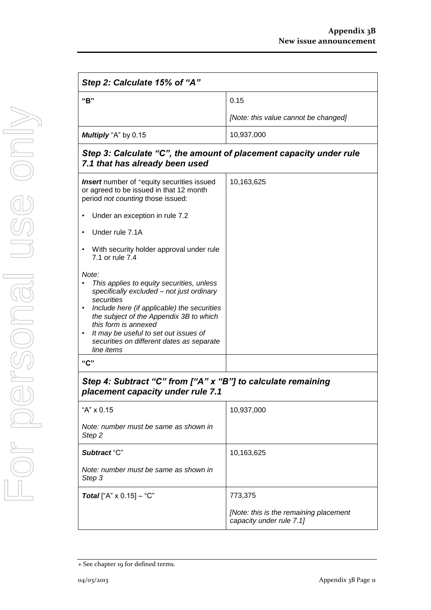| Step 2: Calculate 15% of "A"                                                                                                                  |                                      |  |
|-----------------------------------------------------------------------------------------------------------------------------------------------|--------------------------------------|--|
| "R"                                                                                                                                           | 0.15                                 |  |
|                                                                                                                                               | [Note: this value cannot be changed] |  |
| Multiply "A" by 0.15                                                                                                                          | 10,937,000                           |  |
| Step 3: Calculate "C", the amount of placement capacity under rule<br>7.1 that has already been used                                          |                                      |  |
| <b>Insert</b> number of <sup>+</sup> equity securities issued<br>or agreed to be issued in that 12 month<br>period not counting those issued: | 10,163,625                           |  |
| Under an exception in rule 7.2<br>$\bullet$                                                                                                   |                                      |  |

- Under rule 7.1A
- With security holder approval under rule 7.1 or rule 7.4

#### *Note:*

- *• This applies to equity securities, unless specifically excluded – not just ordinary securities*
- *• Include here (if applicable) the securities the subject of the Appendix 3B to which this form is annexed • It may be useful to set out issues of*
- *securities on different dates as separate line items*

#### **"C"**

### *Step 4: Subtract "C" from ["A" x "B"] to calculate remaining placement capacity under rule 7.1*

| "A" $\times$ 0.15                               | 10,937,000                                                         |
|-------------------------------------------------|--------------------------------------------------------------------|
| Note: number must be same as shown in<br>Step 2 |                                                                    |
| Subtract "C"                                    | 10,163,625                                                         |
| Note: number must be same as shown in<br>Step 3 |                                                                    |
| <b>Total</b> ["A" $\times$ 0.15] – "C"          | 773,375                                                            |
|                                                 | [Note: this is the remaining placement<br>capacity under rule 7.1] |

<sup>+</sup> See chapter 19 for defined terms.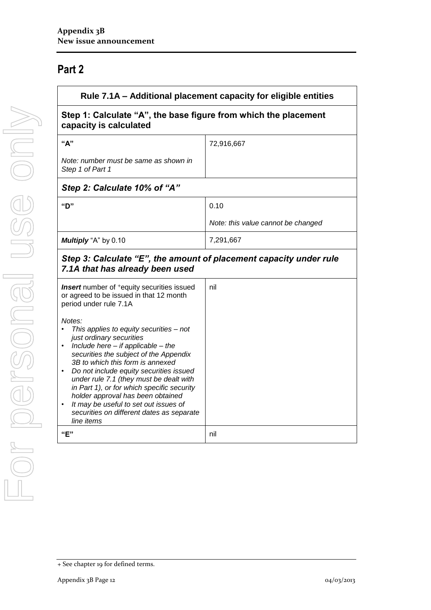# **Part 2**

| Rule 7.1A – Additional placement capacity for eligible entities<br>Step 1: Calculate "A", the base figure from which the placement<br>capacity is calculated                                                                                                                                                                                                                                                                                                                       |                                    |
|------------------------------------------------------------------------------------------------------------------------------------------------------------------------------------------------------------------------------------------------------------------------------------------------------------------------------------------------------------------------------------------------------------------------------------------------------------------------------------|------------------------------------|
|                                                                                                                                                                                                                                                                                                                                                                                                                                                                                    |                                    |
| Note: number must be same as shown in<br>Step 1 of Part 1                                                                                                                                                                                                                                                                                                                                                                                                                          |                                    |
| Step 2: Calculate 10% of "A"                                                                                                                                                                                                                                                                                                                                                                                                                                                       |                                    |
| "D"                                                                                                                                                                                                                                                                                                                                                                                                                                                                                | 0.10                               |
|                                                                                                                                                                                                                                                                                                                                                                                                                                                                                    | Note: this value cannot be changed |
| Multiply "A" by 0.10                                                                                                                                                                                                                                                                                                                                                                                                                                                               | 7,291,667                          |
| Step 3: Calculate "E", the amount of placement capacity under rule<br>7.1A that has already been used                                                                                                                                                                                                                                                                                                                                                                              |                                    |
| <b>Insert</b> number of <sup>+</sup> equity securities issued<br>or agreed to be issued in that 12 month<br>period under rule 7.1A                                                                                                                                                                                                                                                                                                                                                 | nil                                |
| Notes:<br>This applies to equity securities - not<br>just ordinary securities<br>Include here $-$ if applicable $-$ the<br>securities the subject of the Appendix<br>3B to which this form is annexed<br>Do not include equity securities issued<br>under rule 7.1 (they must be dealt with<br>in Part 1), or for which specific security<br>holder approval has been obtained<br>It may be useful to set out issues of<br>securities on different dates as separate<br>line items |                                    |
| "E"                                                                                                                                                                                                                                                                                                                                                                                                                                                                                | nil                                |

<sup>+</sup> See chapter 19 for defined terms.